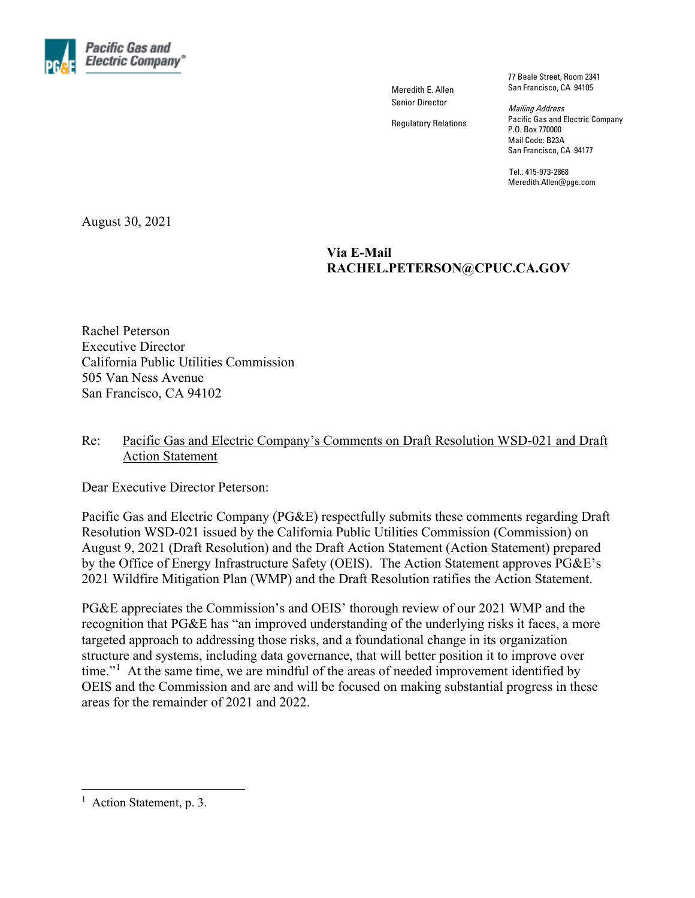

Meredith E. Allen Senior Director

Regulatory Relations

77 Beale Street, Room 2341 San Francisco, CA 94105

Mailing Address Pacific Gas and Electric Company P.O. Box 770000 Mail Code: B23A San Francisco, CA 94177

Tel.: 415-973-2868 Meredith.Allen@pge.com

August 30, 2021

### **Via E-Mail RACHEL.PETERSON@CPUC.CA.GOV**

Rachel Peterson Executive Director California Public Utilities Commission 505 Van Ness Avenue San Francisco, CA 94102

#### Re: Pacific Gas and Electric Company's Comments on Draft Resolution WSD-021 and Draft **Action Statement**

Dear Executive Director Peterson:

Pacific Gas and Electric Company (PG&E) respectfully submits these comments regarding Draft Resolution WSD-021 issued by the California Public Utilities Commission (Commission) on August 9, 2021 (Draft Resolution) and the Draft Action Statement (Action Statement) prepared by the Office of Energy Infrastructure Safety (OEIS). The Action Statement approves PG&E's 2021 Wildfire Mitigation Plan (WMP) and the Draft Resolution ratifies the Action Statement.

PG&E appreciates the Commission's and OEIS' thorough review of our 2021 WMP and the recognition that PG&E has "an improved understanding of the underlying risks it faces, a more targeted approach to addressing those risks, and a foundational change in its organization structure and systems, including data governance, that will better position it to improve over time."<sup>[1](#page-0-0)</sup> At the same time, we are mindful of the areas of needed improvement identified by OEIS and the Commission and are and will be focused on making substantial progress in these areas for the remainder of 2021 and 2022.

<span id="page-0-0"></span><sup>&</sup>lt;sup>1</sup> Action Statement, p. 3.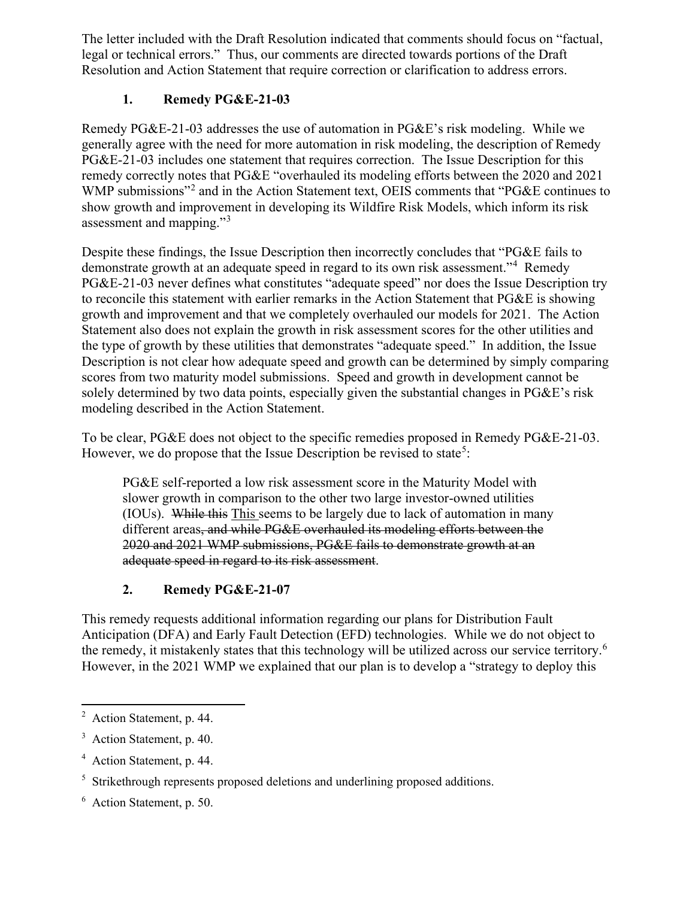The letter included with the Draft Resolution indicated that comments should focus on "factual, legal or technical errors." Thus, our comments are directed towards portions of the Draft Resolution and Action Statement that require correction or clarification to address errors.

## **1. Remedy PG&E-21-03**

Remedy PG&E-21-03 addresses the use of automation in PG&E's risk modeling. While we generally agree with the need for more automation in risk modeling, the description of Remedy PG&E-21-03 includes one statement that requires correction. The Issue Description for this remedy correctly notes that PG&E "overhauled its modeling efforts between the 2020 and 2021 WMP submissions<sup>"[2](#page-1-0)</sup> and in the Action Statement text, OEIS comments that "PG&E continues to show growth and improvement in developing its Wildfire Risk Models, which inform its risk assessment and mapping."<sup>[3](#page-1-1)</sup>

Despite these findings, the Issue Description then incorrectly concludes that "PG&E fails to demonstrate growth at an adequate speed in regard to its own risk assessment."<sup>[4](#page-1-2)</sup> Remedy PG&E-21-03 never defines what constitutes "adequate speed" nor does the Issue Description try to reconcile this statement with earlier remarks in the Action Statement that PG&E is showing growth and improvement and that we completely overhauled our models for 2021. The Action Statement also does not explain the growth in risk assessment scores for the other utilities and the type of growth by these utilities that demonstrates "adequate speed." In addition, the Issue Description is not clear how adequate speed and growth can be determined by simply comparing scores from two maturity model submissions. Speed and growth in development cannot be solely determined by two data points, especially given the substantial changes in PG&E's risk modeling described in the Action Statement.

To be clear, PG&E does not object to the specific remedies proposed in Remedy PG&E-21-03. However, we do propose that the Issue Description be revised to state<sup>[5](#page-1-3)</sup>:

PG&E self-reported a low risk assessment score in the Maturity Model with slower growth in comparison to the other two large investor-owned utilities (IOUs). While this This seems to be largely due to lack of automation in many different areas, and while PG&E overhauled its modeling efforts between the 2020 and 2021 WMP submissions, PG&E fails to demonstrate growth at an adequate speed in regard to its risk assessment.

# **2. Remedy PG&E-21-07**

This remedy requests additional information regarding our plans for Distribution Fault Anticipation (DFA) and Early Fault Detection (EFD) technologies. While we do not object to the remedy, it mistakenly states that this technology will be utilized across our service territory.<sup>[6](#page-1-4)</sup> However, in the 2021 WMP we explained that our plan is to develop a "strategy to deploy this

<span id="page-1-0"></span><sup>&</sup>lt;sup>2</sup> Action Statement, p. 44.

<span id="page-1-1"></span><sup>&</sup>lt;sup>3</sup> Action Statement, p. 40.

<span id="page-1-2"></span><sup>4</sup> Action Statement, p. 44.

<span id="page-1-3"></span><sup>&</sup>lt;sup>5</sup> Strikethrough represents proposed deletions and underlining proposed additions.

<span id="page-1-4"></span><sup>6</sup> Action Statement, p. 50.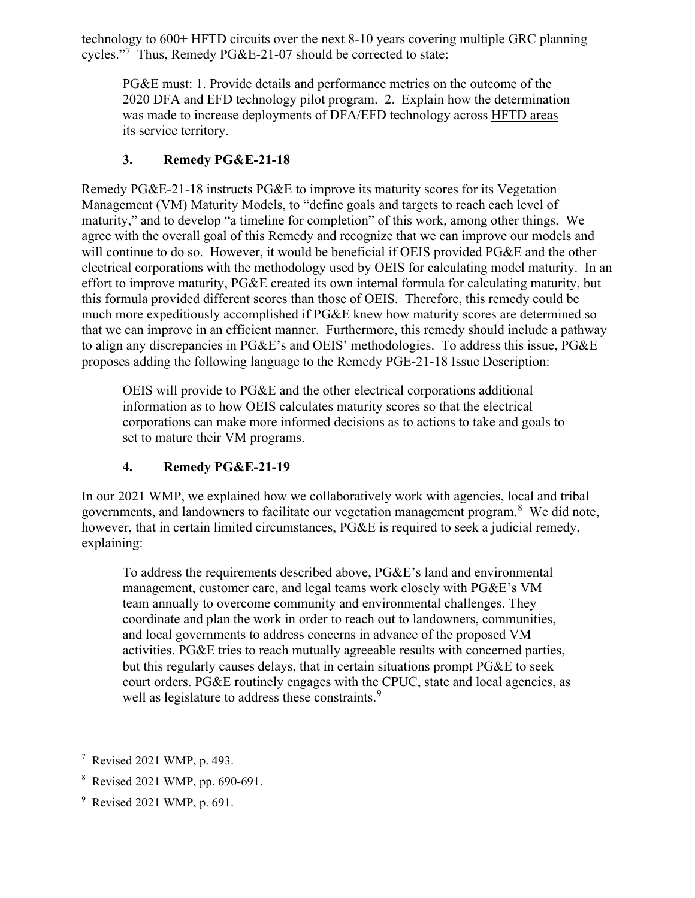technology to 600+ HFTD circuits over the next 8-10 years covering multiple GRC planning cycles."[7](#page-2-0) Thus, Remedy PG&E-21-07 should be corrected to state:

PG&E must: 1. Provide details and performance metrics on the outcome of the 2020 DFA and EFD technology pilot program. 2. Explain how the determination was made to increase deployments of DFA/EFD technology across HFTD areas its service territory.

## **3. Remedy PG&E-21-18**

Remedy PG&E-21-18 instructs PG&E to improve its maturity scores for its Vegetation Management (VM) Maturity Models, to "define goals and targets to reach each level of maturity," and to develop "a timeline for completion" of this work, among other things. We agree with the overall goal of this Remedy and recognize that we can improve our models and will continue to do so. However, it would be beneficial if OEIS provided PG&E and the other electrical corporations with the methodology used by OEIS for calculating model maturity. In an effort to improve maturity, PG&E created its own internal formula for calculating maturity, but this formula provided different scores than those of OEIS. Therefore, this remedy could be much more expeditiously accomplished if PG&E knew how maturity scores are determined so that we can improve in an efficient manner. Furthermore, this remedy should include a pathway to align any discrepancies in PG&E's and OEIS' methodologies. To address this issue, PG&E proposes adding the following language to the Remedy PGE-21-18 Issue Description:

OEIS will provide to PG&E and the other electrical corporations additional information as to how OEIS calculates maturity scores so that the electrical corporations can make more informed decisions as to actions to take and goals to set to mature their VM programs.

# **4. Remedy PG&E-21-19**

In our 2021 WMP, we explained how we collaboratively work with agencies, local and tribal governments, and landowners to facilitate our vegetation management program.<sup>[8](#page-2-1)</sup> We did note, however, that in certain limited circumstances, PG&E is required to seek a judicial remedy, explaining:

To address the requirements described above, PG&E's land and environmental management, customer care, and legal teams work closely with PG&E's VM team annually to overcome community and environmental challenges. They coordinate and plan the work in order to reach out to landowners, communities, and local governments to address concerns in advance of the proposed VM activities. PG&E tries to reach mutually agreeable results with concerned parties, but this regularly causes delays, that in certain situations prompt PG&E to seek court orders. PG&E routinely engages with the CPUC, state and local agencies, as well as legislature to address these constraints.<sup>[9](#page-2-2)</sup>

<span id="page-2-0"></span><sup>7</sup> Revised 2021 WMP, p. 493.

<span id="page-2-1"></span><sup>8</sup> Revised 2021 WMP, pp. 690-691.

<span id="page-2-2"></span><sup>&</sup>lt;sup>9</sup> Revised 2021 WMP, p. 691.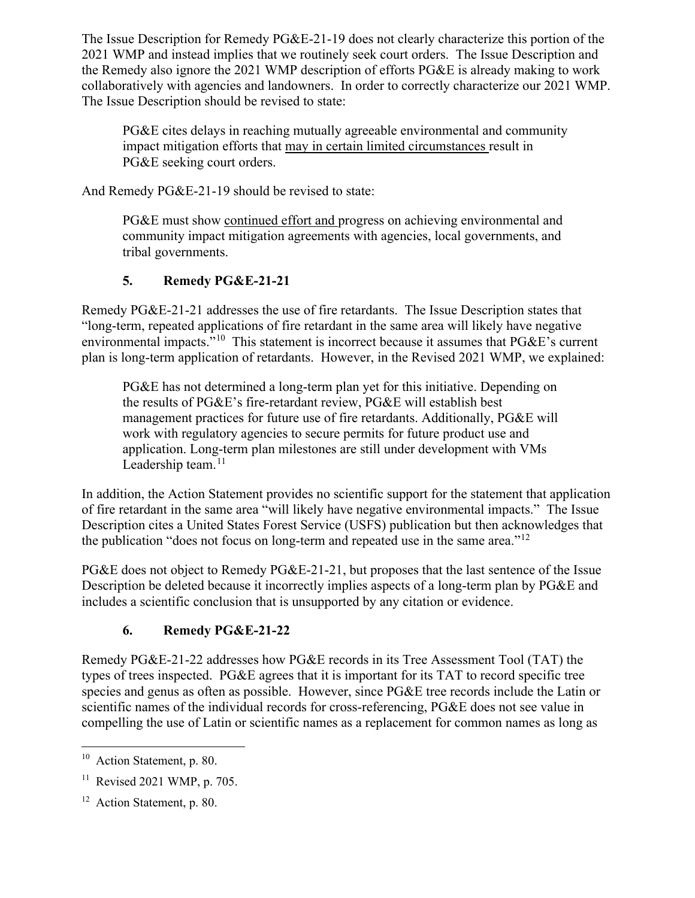The Issue Description for Remedy PG&E-21-19 does not clearly characterize this portion of the 2021 WMP and instead implies that we routinely seek court orders. The Issue Description and the Remedy also ignore the 2021 WMP description of efforts PG&E is already making to work collaboratively with agencies and landowners. In order to correctly characterize our 2021 WMP. The Issue Description should be revised to state:

PG&E cites delays in reaching mutually agreeable environmental and community impact mitigation efforts that may in certain limited circumstances result in PG&E seeking court orders.

And Remedy PG&E-21-19 should be revised to state:

PG&E must show continued effort and progress on achieving environmental and community impact mitigation agreements with agencies, local governments, and tribal governments.

## **5. Remedy PG&E-21-21**

Remedy PG&E-21-21 addresses the use of fire retardants. The Issue Description states that "long-term, repeated applications of fire retardant in the same area will likely have negative environmental impacts."<sup>10</sup> This statement is incorrect because it assumes that PG&E's current plan is long-term application of retardants. However, in the Revised 2021 WMP, we explained:

PG&E has not determined a long-term plan yet for this initiative. Depending on the results of PG&E's fire-retardant review, PG&E will establish best management practices for future use of fire retardants. Additionally, PG&E will work with regulatory agencies to secure permits for future product use and application. Long-term plan milestones are still under development with VMs Leadership team. $11$ 

In addition, the Action Statement provides no scientific support for the statement that application of fire retardant in the same area "will likely have negative environmental impacts." The Issue Description cites a United States Forest Service (USFS) publication but then acknowledges that the publication "does not focus on long-term and repeated use in the same area." $^{12}$  $^{12}$  $^{12}$ 

PG&E does not object to Remedy PG&E-21-21, but proposes that the last sentence of the Issue Description be deleted because it incorrectly implies aspects of a long-term plan by PG&E and includes a scientific conclusion that is unsupported by any citation or evidence.

## **6. Remedy PG&E-21-22**

Remedy PG&E-21-22 addresses how PG&E records in its Tree Assessment Tool (TAT) the types of trees inspected. PG&E agrees that it is important for its TAT to record specific tree species and genus as often as possible. However, since PG&E tree records include the Latin or scientific names of the individual records for cross-referencing, PG&E does not see value in compelling the use of Latin or scientific names as a replacement for common names as long as

<span id="page-3-0"></span><sup>&</sup>lt;sup>10</sup> Action Statement, p. 80.

<span id="page-3-1"></span> $11$  Revised 2021 WMP, p. 705.

<span id="page-3-2"></span><sup>&</sup>lt;sup>12</sup> Action Statement, p. 80.